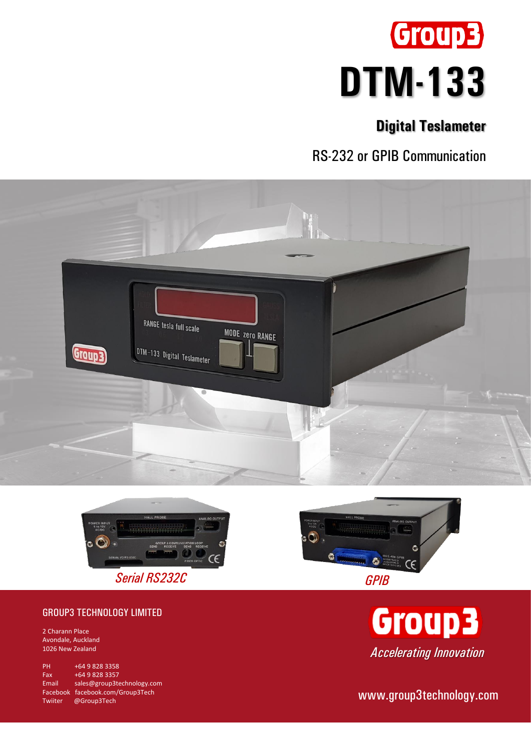

# **Digital Teslameter**

RS-232 or GPIB Communication







2 Charann Place Avondale, Auckland 1026 New Zealand

PH +64 9 828 3358 Fax +64 9 828 3357 Email [sales@group3technology.com](mailto:sales@group3technology.com) Facebook [facebook.com/Group3Tech](http://www.facebook.com/Group3Tech) Twiiter @Group3Tech





www.group3technology.com